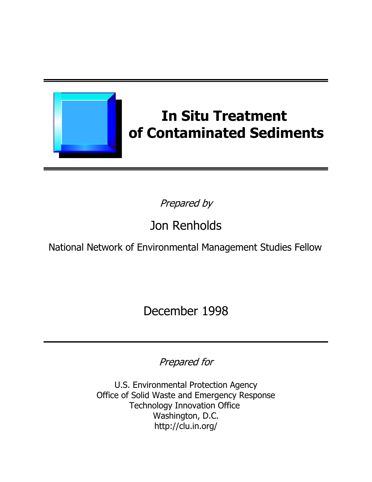

# **In Situ Treatment** of Contaminated Sediments

Prepared by

# Jon Renholds

National Network of Environmental Management Studies Fellow

December 1998

Prepared for

U.S. Environmental Protection Agency Office of Solid Waste and Emergency Response **Technology Innovation Office** Washington, D.C. http://clu.in.org/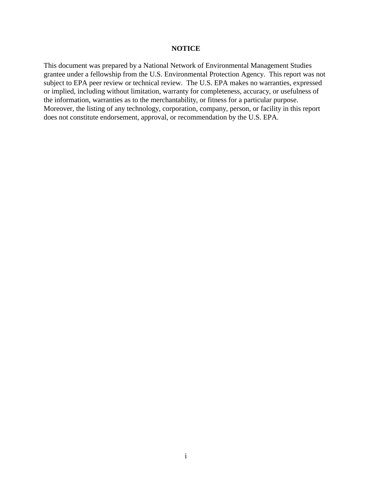#### **NOTICE**

This document was prepared by a National Network of Environmental Management Studies grantee under a fellowship from the U.S. Environmental Protection Agency. This report was not subject to EPA peer review or technical review. The U.S. EPA makes no warranties, expressed or implied, including without limitation, warranty for completeness, accuracy, or usefulness of the information, warranties as to the merchantability, or fitness for a particular purpose. Moreover, the listing of any technology, corporation, company, person, or facility in this report does not constitute endorsement, approval, or recommendation by the U.S. EPA.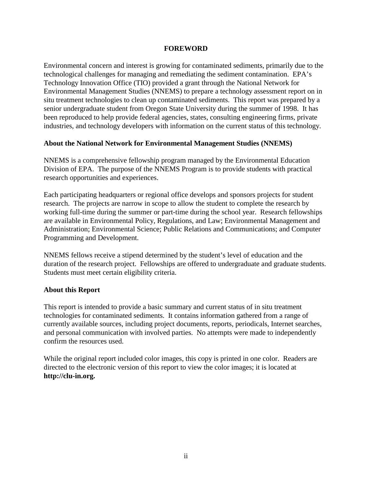#### **FOREWORD**

Environmental concern and interest is growing for contaminated sediments, primarily due to the technological challenges for managing and remediating the sediment contamination. EPA's Technology Innovation Office (TIO) provided a grant through the National Network for Environmental Management Studies (NNEMS) to prepare a technology assessment report on in situ treatment technologies to clean up contaminated sediments. This report was prepared by a senior undergraduate student from Oregon State University during the summer of 1998. It has been reproduced to help provide federal agencies, states, consulting engineering firms, private industries, and technology developers with information on the current status of this technology.

#### **About the National Network for Environmental Management Studies (NNEMS)**

NNEMS is a comprehensive fellowship program managed by the Environmental Education Division of EPA. The purpose of the NNEMS Program is to provide students with practical research opportunities and experiences.

Each participating headquarters or regional office develops and sponsors projects for student research. The projects are narrow in scope to allow the student to complete the research by working full-time during the summer or part-time during the school year. Research fellowships are available in Environmental Policy, Regulations, and Law; Environmental Management and Administration; Environmental Science; Public Relations and Communications; and Computer Programming and Development.

NNEMS fellows receive a stipend determined by the student's level of education and the duration of the research project. Fellowships are offered to undergraduate and graduate students. Students must meet certain eligibility criteria.

## **About this Report**

This report is intended to provide a basic summary and current status of in situ treatment technologies for contaminated sediments. It contains information gathered from a range of currently available sources, including project documents, reports, periodicals, Internet searches, and personal communication with involved parties. No attempts were made to independently confirm the resources used.

While the original report included color images, this copy is printed in one color. Readers are directed to the electronic version of this report to view the color images; it is located at **http://clu-in.org.**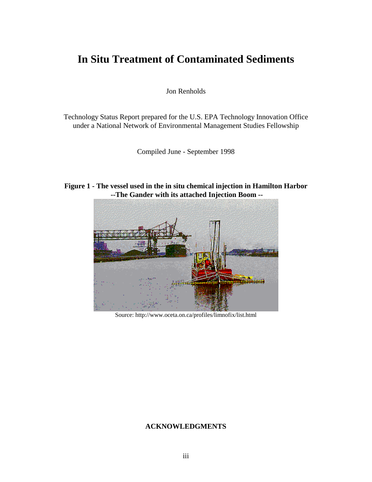# **In Situ Treatment of Contaminated Sediments**

Jon Renholds

Technology Status Report prepared for the U.S. EPA Technology Innovation Office under a National Network of Environmental Management Studies Fellowship

Compiled June - September 1998

**Figure 1 - The vessel used in the in situ chemical injection in Hamilton Harbor --The Gander with its attached Injection Boom --**



Source: http://www.oceta.on.ca/profiles/limnofix/list.html

#### **ACKNOWLEDGMENTS**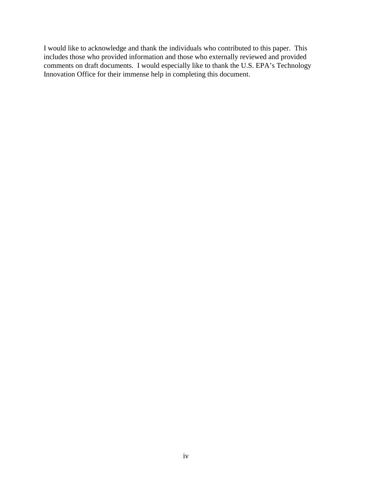I would like to acknowledge and thank the individuals who contributed to this paper. This includes those who provided information and those who externally reviewed and provided comments on draft documents. I would especially like to thank the U.S. EPA's Technology Innovation Office for their immense help in completing this document.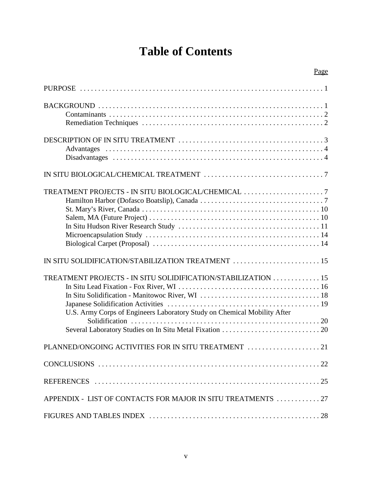# **Table of Contents**

| TREATMENT PROJECTS - IN SITU BIOLOGICAL/CHEMICAL                                                                                         |
|------------------------------------------------------------------------------------------------------------------------------------------|
| IN SITU SOLIDIFICATION/STABILIZATION TREATMENT  15                                                                                       |
| TREATMENT PROJECTS - IN SITU SOLIDIFICATION/STABILIZATION 15<br>U.S. Army Corps of Engineers Laboratory Study on Chemical Mobility After |
| PLANNED/ONGOING ACTIVITIES FOR IN SITU TREATMENT                                                                                         |
|                                                                                                                                          |
|                                                                                                                                          |
|                                                                                                                                          |
|                                                                                                                                          |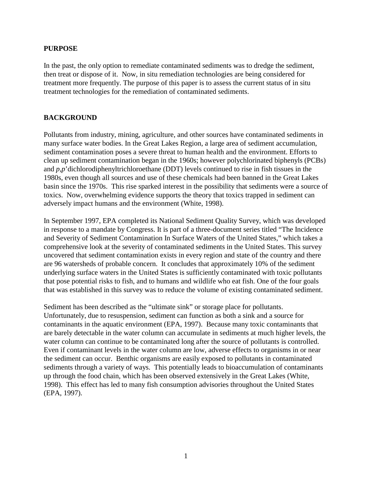#### **PURPOSE**

In the past, the only option to remediate contaminated sediments was to dredge the sediment, then treat or dispose of it. Now, in situ remediation technologies are being considered for treatment more frequently. The purpose of this paper is to assess the current status of in situ treatment technologies for the remediation of contaminated sediments.

#### **BACKGROUND**

Pollutants from industry, mining, agriculture, and other sources have contaminated sediments in many surface water bodies. In the Great Lakes Region, a large area of sediment accumulation, sediment contamination poses a severe threat to human health and the environment. Efforts to clean up sediment contamination began in the 1960s; however polychlorinated biphenyls (PCBs) and *p,p*'dichlorodiphenyltrichloroethane (DDT) levels continued to rise in fish tissues in the 1980s, even though all sources and use of these chemicals had been banned in the Great Lakes basin since the 1970s. This rise sparked interest in the possibility that sediments were a source of toxics. Now, overwhelming evidence supports the theory that toxics trapped in sediment can adversely impact humans and the environment (White, 1998).

In September 1997, EPA completed its National Sediment Quality Survey, which was developed in response to a mandate by Congress. It is part of a three-document series titled "The Incidence and Severity of Sediment Contamination In Surface Waters of the United States," which takes a comprehensive look at the severity of contaminated sediments in the United States. This survey uncovered that sediment contamination exists in every region and state of the country and there are 96 watersheds of probable concern. It concludes that approximately 10% of the sediment underlying surface waters in the United States is sufficiently contaminated with toxic pollutants that pose potential risks to fish, and to humans and wildlife who eat fish. One of the four goals that was established in this survey was to reduce the volume of existing contaminated sediment.

Sediment has been described as the "ultimate sink" or storage place for pollutants. Unfortunately, due to resuspension, sediment can function as both a sink and a source for contaminants in the aquatic environment (EPA, 1997). Because many toxic contaminants that are barely detectable in the water column can accumulate in sediments at much higher levels, the water column can continue to be contaminated long after the source of pollutants is controlled. Even if contaminant levels in the water column are low, adverse effects to organisms in or near the sediment can occur. Benthic organisms are easily exposed to pollutants in contaminated sediments through a variety of ways. This potentially leads to bioaccumulation of contaminants up through the food chain, which has been observed extensively in the Great Lakes (White, 1998). This effect has led to many fish consumption advisories throughout the United States (EPA, 1997).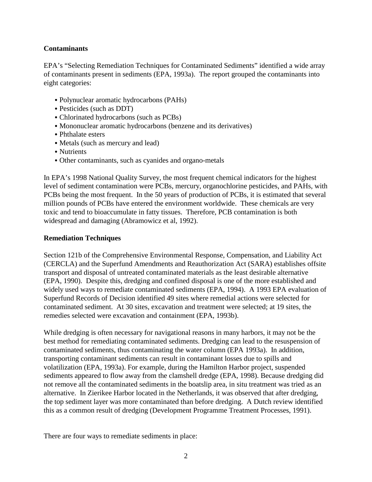## **Contaminants**

EPA's "Selecting Remediation Techniques for Contaminated Sediments" identified a wide array of contaminants present in sediments (EPA, 1993a). The report grouped the contaminants into eight categories:

- & Polynuclear aromatic hydrocarbons (PAHs)
- & Pesticides (such as DDT)
- & Chlorinated hydrocarbons (such as PCBs)
- & Mononuclear aromatic hydrocarbons (benzene and its derivatives)
- Phthalate esters
- & Metals (such as mercury and lead)
- Nutrients
- & Other contaminants, such as cyanides and organo-metals

In EPA's 1998 National Quality Survey, the most frequent chemical indicators for the highest level of sediment contamination were PCBs, mercury, organochlorine pesticides, and PAHs, with PCBs being the most frequent. In the 50 years of production of PCBs, it is estimated that several million pounds of PCBs have entered the environment worldwide. These chemicals are very toxic and tend to bioaccumulate in fatty tissues. Therefore, PCB contamination is both widespread and damaging (Abramowicz et al, 1992).

# **Remediation Techniques**

Section 121b of the Comprehensive Environmental Response, Compensation, and Liability Act (CERCLA) and the Superfund Amendments and Reauthorization Act (SARA) establishes offsite transport and disposal of untreated contaminated materials as the least desirable alternative (EPA, 1990). Despite this, dredging and confined disposal is one of the more established and widely used ways to remediate contaminated sediments (EPA, 1994). A 1993 EPA evaluation of Superfund Records of Decision identified 49 sites where remedial actions were selected for contaminated sediment. At 30 sites, excavation and treatment were selected; at 19 sites, the remedies selected were excavation and containment (EPA, 1993b).

While dredging is often necessary for navigational reasons in many harbors, it may not be the best method for remediating contaminated sediments. Dredging can lead to the resuspension of contaminated sediments, thus contaminating the water column (EPA 1993a). In addition, transporting contaminant sediments can result in contaminant losses due to spills and volatilization (EPA, 1993a). For example, during the Hamilton Harbor project, suspended sediments appeared to flow away from the clamshell dredge (EPA, 1998). Because dredging did not remove all the contaminated sediments in the boatslip area, in situ treatment was tried as an alternative. In Zierikee Harbor located in the Netherlands, it was observed that after dredging, the top sediment layer was more contaminated than before dredging. A Dutch review identified this as a common result of dredging (Development Programme Treatment Processes, 1991).

There are four ways to remediate sediments in place: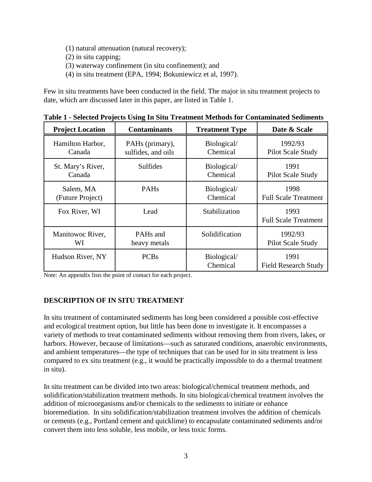- (1) natural attenuation (natural recovery);
- (2) in situ capping;
- (3) waterway confinement (in situ confinement); and
- (4) in situ treatment (EPA, 1994; Bokuniewicz et al, 1997).

Few in situ treatments have been conducted in the field. The major in situ treatment projects to date, which are discussed later in this paper, are listed in Table 1.

| <b>Project Location</b> | <b>Contaminants</b> | <b>Treatment Type</b>   | Date & Scale                        |
|-------------------------|---------------------|-------------------------|-------------------------------------|
| Hamilton Harbor,        | PAHs (primary),     | Biological/             | 1992/93                             |
| Canada                  | sulfides, and oils  | Chemical                | Pilot Scale Study                   |
| St. Mary's River,       | Sulfides            | Biological/             | 1991                                |
| Canada                  |                     | Chemical                | Pilot Scale Study                   |
| Salem, MA               | PAH <sub>s</sub>    | Biological/             | 1998                                |
| (Future Project)        |                     | Chemical                | <b>Full Scale Treatment</b>         |
| Fox River, WI           | Lead                | Stabilization           | 1993<br><b>Full Scale Treatment</b> |
| Manitowoc River,        | PAHs and            | Solidification          | 1992/93                             |
| WI                      | heavy metals        |                         | Pilot Scale Study                   |
| Hudson River, NY        | <b>PCBs</b>         | Biological/<br>Chemical | 1991<br><b>Field Research Study</b> |

**Table 1 - Selected Projects Using In Situ Treatment Methods for Contaminated Sediments**

Note: An appendix lists the point of contact for each project.

## **DESCRIPTION OF IN SITU TREATMENT**

In situ treatment of contaminated sediments has long been considered a possible cost-effective and ecological treatment option, but little has been done to investigate it. It encompasses a variety of methods to treat contaminated sediments without removing them from rivers, lakes, or harbors. However, because of limitations—such as saturated conditions, anaerobic environments, and ambient temperatures—the type of techniques that can be used for in situ treatment is less compared to ex situ treatment (e.g., it would be practically impossible to do a thermal treatment in situ).

In situ treatment can be divided into two areas: biological/chemical treatment methods, and solidification/stabilization treatment methods. In situ biological/chemical treatment involves the addition of microorganisms and/or chemicals to the sediments to initiate or enhance bioremediation. In situ solidification/stabilization treatment involves the addition of chemicals or cements (e.g., Portland cement and quicklime) to encapsulate contaminated sediments and/or convert them into less soluble, less mobile, or less toxic forms.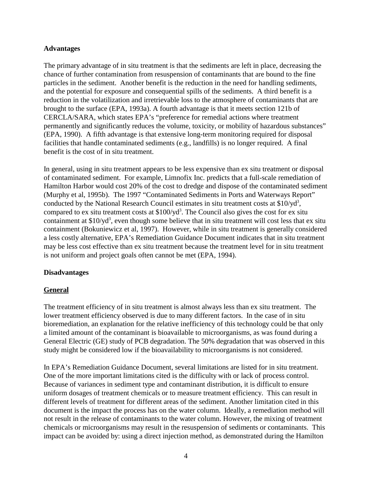#### **Advantages**

The primary advantage of in situ treatment is that the sediments are left in place, decreasing the chance of further contamination from resuspension of contaminants that are bound to the fine particles in the sediment. Another benefit is the reduction in the need for handling sediments, and the potential for exposure and consequential spills of the sediments. A third benefit is a reduction in the volatilization and irretrievable loss to the atmosphere of contaminants that are brought to the surface (EPA, 1993a). A fourth advantage is that it meets section 121b of CERCLA/SARA, which states EPA's "preference for remedial actions where treatment permanently and significantly reduces the volume, toxicity, or mobility of hazardous substances" (EPA, 1990). A fifth advantage is that extensive long-term monitoring required for disposal facilities that handle contaminated sediments (e.g., landfills) is no longer required. A final benefit is the cost of in situ treatment.

In general, using in situ treatment appears to be less expensive than ex situ treatment or disposal of contaminated sediment. For example, Limnofix Inc. predicts that a full-scale remediation of Hamilton Harbor would cost 20% of the cost to dredge and dispose of the contaminated sediment (Murphy et al, 1995b). The 1997 "Contaminated Sediments in Ports and Waterways Report" conducted by the National Research Council estimates in situ treatment costs at \$10/yd<sup>3</sup>, compared to ex situ treatment costs at  $$100$ /yd<sup>3</sup>. The Council also gives the cost for ex situ containment at \$10/yd<sup>3</sup>, even though some believe that in situ treatment will cost less that ex situ containment (Bokuniewicz et al, 1997). However, while in situ treatment is generally considered a less costly alternative, EPA's Remediation Guidance Document indicates that in situ treatment may be less cost effective than ex situ treatment because the treatment level for in situ treatment is not uniform and project goals often cannot be met (EPA, 1994).

#### **Disadvantages**

#### **General**

The treatment efficiency of in situ treatment is almost always less than ex situ treatment. The lower treatment efficiency observed is due to many different factors. In the case of in situ bioremediation, an explanation for the relative inefficiency of this technology could be that only a limited amount of the contaminant is bioavailable to microorganisms, as was found during a General Electric (GE) study of PCB degradation. The 50% degradation that was observed in this study might be considered low if the bioavailability to microorganisms is not considered.

In EPA's Remediation Guidance Document, several limitations are listed for in situ treatment. One of the more important limitations cited is the difficulty with or lack of process control. Because of variances in sediment type and contaminant distribution, it is difficult to ensure uniform dosages of treatment chemicals or to measure treatment efficiency. This can result in different levels of treatment for different areas of the sediment. Another limitation cited in this document is the impact the process has on the water column. Ideally, a remediation method will not result in the release of contaminants to the water column. However, the mixing of treatment chemicals or microorganisms may result in the resuspension of sediments or contaminants. This impact can be avoided by: using a direct injection method, as demonstrated during the Hamilton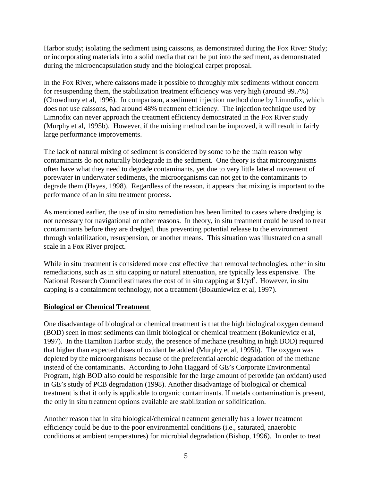Harbor study; isolating the sediment using caissons, as demonstrated during the Fox River Study; or incorporating materials into a solid media that can be put into the sediment, as demonstrated during the microencapsulation study and the biological carpet proposal.

In the Fox River, where caissons made it possible to throughly mix sediments without concern for resuspending them, the stabilization treatment efficiency was very high (around 99.7%) (Chowdhury et al, 1996). In comparison, a sediment injection method done by Limnofix, which does not use caissons, had around 48% treatment efficiency. The injection technique used by Limnofix can never approach the treatment efficiency demonstrated in the Fox River study (Murphy et al, 1995b). However, if the mixing method can be improved, it will result in fairly large performance improvements.

The lack of natural mixing of sediment is considered by some to be the main reason why contaminants do not naturally biodegrade in the sediment. One theory is that microorganisms often have what they need to degrade contaminants, yet due to very little lateral movement of porewater in underwater sediments, the microorganisms can not get to the contaminants to degrade them (Hayes, 1998). Regardless of the reason, it appears that mixing is important to the performance of an in situ treatment process.

As mentioned earlier, the use of in situ remediation has been limited to cases where dredging is not necessary for navigational or other reasons. In theory, in situ treatment could be used to treat contaminants before they are dredged, thus preventing potential release to the environment through volatilization, resuspension, or another means. This situation was illustrated on a small scale in a Fox River project.

While in situ treatment is considered more cost effective than removal technologies, other in situ remediations, such as in situ capping or natural attenuation, are typically less expensive. The National Research Council estimates the cost of in situ capping at \$1/yd<sup>3</sup>. However, in situ capping is a containment technology, not a treatment (Bokuniewicz et al, 1997).

## **Biological or Chemical Treatment**

One disadvantage of biological or chemical treatment is that the high biological oxygen demand (BOD) seen in most sediments can limit biological or chemical treatment (Bokuniewicz et al, 1997). In the Hamilton Harbor study, the presence of methane (resulting in high BOD) required that higher than expected doses of oxidant be added (Murphy et al, 1995b). The oxygen was depleted by the microorganisms because of the preferential aerobic degradation of the methane instead of the contaminants. According to John Haggard of GE's Corporate Environmental Program, high BOD also could be responsible for the large amount of peroxide (an oxidant) used in GE's study of PCB degradation (1998). Another disadvantage of biological or chemical treatment is that it only is applicable to organic contaminants. If metals contamination is present, the only in situ treatment options available are stabilization or solidification.

Another reason that in situ biological/chemical treatment generally has a lower treatment efficiency could be due to the poor environmental conditions (i.e., saturated, anaerobic conditions at ambient temperatures) for microbial degradation (Bishop, 1996). In order to treat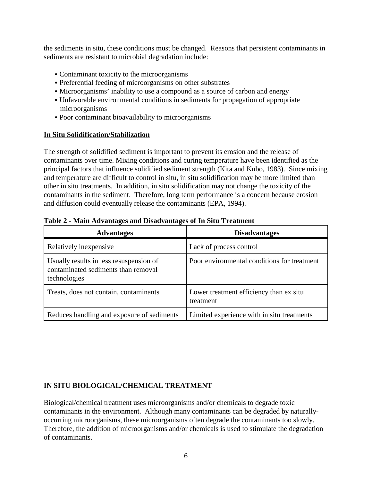the sediments in situ, these conditions must be changed. Reasons that persistent contaminants in sediments are resistant to microbial degradation include:

- Contaminant toxicity to the microorganisms
- & Preferential feeding of microorganisms on other substrates
- Microorganisms' inability to use a compound as a source of carbon and energy
- & Unfavorable environmental conditions in sediments for propagation of appropriate microorganisms
- & Poor contaminant bioavailability to microorganisms

#### **In Situ Solidification/Stabilization**

The strength of solidified sediment is important to prevent its erosion and the release of contaminants over time. Mixing conditions and curing temperature have been identified as the principal factors that influence solidified sediment strength (Kita and Kubo, 1983). Since mixing and temperature are difficult to control in situ, in situ solidification may be more limited than other in situ treatments. In addition, in situ solidification may not change the toxicity of the contaminants in the sediment. Therefore, long term performance is a concern because erosion and diffusion could eventually release the contaminants (EPA, 1994).

| <b>Advantages</b>                                                                              | <b>Disadvantages</b>                                 |
|------------------------------------------------------------------------------------------------|------------------------------------------------------|
| Relatively in expensive                                                                        | Lack of process control                              |
| Usually results in less resuspension of<br>contaminated sediments than removal<br>technologies | Poor environmental conditions for treatment          |
| Treats, does not contain, contaminants                                                         | Lower treatment efficiency than ex situ<br>treatment |
| Reduces handling and exposure of sediments                                                     | Limited experience with in situ treatments           |

#### **Table 2 - Main Advantages and Disadvantages of In Situ Treatment**

## **IN SITU BIOLOGICAL/CHEMICAL TREATMENT**

Biological/chemical treatment uses microorganisms and/or chemicals to degrade toxic contaminants in the environment. Although many contaminants can be degraded by naturallyoccurring microorganisms, these microorganisms often degrade the contaminants too slowly. Therefore, the addition of microorganisms and/or chemicals is used to stimulate the degradation of contaminants.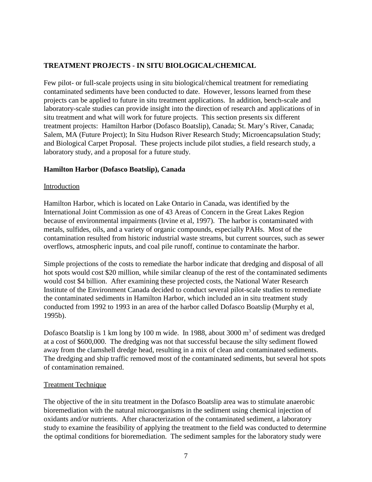# **TREATMENT PROJECTS - IN SITU BIOLOGICAL/CHEMICAL**

Few pilot- or full-scale projects using in situ biological/chemical treatment for remediating contaminated sediments have been conducted to date. However, lessons learned from these projects can be applied to future in situ treatment applications. In addition, bench-scale and laboratory-scale studies can provide insight into the direction of research and applications of in situ treatment and what will work for future projects. This section presents six different treatment projects: Hamilton Harbor (Dofasco Boatslip), Canada; St. Mary's River, Canada; Salem, MA (Future Project); In Situ Hudson River Research Study; Microencapsulation Study; and Biological Carpet Proposal. These projects include pilot studies, a field research study, a laboratory study, and a proposal for a future study.

## **Hamilton Harbor (Dofasco Boatslip), Canada**

#### Introduction

Hamilton Harbor, which is located on Lake Ontario in Canada, was identified by the International Joint Commission as one of 43 Areas of Concern in the Great Lakes Region because of environmental impairments (Irvine et al, 1997). The harbor is contaminated with metals, sulfides, oils, and a variety of organic compounds, especially PAHs. Most of the contamination resulted from historic industrial waste streams, but current sources, such as sewer overflows, atmospheric inputs, and coal pile runoff, continue to contaminate the harbor.

Simple projections of the costs to remediate the harbor indicate that dredging and disposal of all hot spots would cost \$20 million, while similar cleanup of the rest of the contaminated sediments would cost \$4 billion. After examining these projected costs, the National Water Research Institute of the Environment Canada decided to conduct several pilot-scale studies to remediate the contaminated sediments in Hamilton Harbor, which included an in situ treatment study conducted from 1992 to 1993 in an area of the harbor called Dofasco Boatslip (Murphy et al, 1995b).

Dofasco Boatslip is 1 km long by 100 m wide. In 1988, about 3000 m<sup>3</sup> of sediment was dredged at a cost of \$600,000. The dredging was not that successful because the silty sediment flowed away from the clamshell dredge head, resulting in a mix of clean and contaminated sediments. The dredging and ship traffic removed most of the contaminated sediments, but several hot spots of contamination remained.

#### Treatment Technique

The objective of the in situ treatment in the Dofasco Boatslip area was to stimulate anaerobic bioremediation with the natural microorganisms in the sediment using chemical injection of oxidants and/or nutrients. After characterization of the contaminated sediment, a laboratory study to examine the feasibility of applying the treatment to the field was conducted to determine the optimal conditions for bioremediation. The sediment samples for the laboratory study were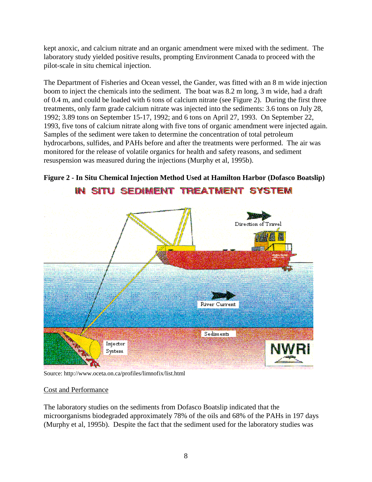kept anoxic, and calcium nitrate and an organic amendment were mixed with the sediment. The laboratory study yielded positive results, prompting Environment Canada to proceed with the pilot-scale in situ chemical injection.

The Department of Fisheries and Ocean vessel, the Gander, was fitted with an 8 m wide injection boom to inject the chemicals into the sediment. The boat was 8.2 m long, 3 m wide, had a draft of 0.4 m, and could be loaded with 6 tons of calcium nitrate (see Figure 2). During the first three treatments, only farm grade calcium nitrate was injected into the sediments: 3.6 tons on July 28, 1992; 3.89 tons on September 15-17, 1992; and 6 tons on April 27, 1993. On September 22, 1993, five tons of calcium nitrate along with five tons of organic amendment were injected again. Samples of the sediment were taken to determine the concentration of total petroleum hydrocarbons, sulfides, and PAHs before and after the treatments were performed. The air was monitored for the release of volatile organics for health and safety reasons, and sediment resuspension was measured during the injections (Murphy et al, 1995b).



# **Figure 2 - In Situ Chemical Injection Method Used at Hamilton Harbor (Dofasco Boatslip)**

Source: http://www.oceta.on.ca/profiles/limnofix/list.html

## Cost and Performance

The laboratory studies on the sediments from Dofasco Boatslip indicated that the microorganisms biodegraded approximately 78% of the oils and 68% of the PAHs in 197 days (Murphy et al, 1995b). Despite the fact that the sediment used for the laboratory studies was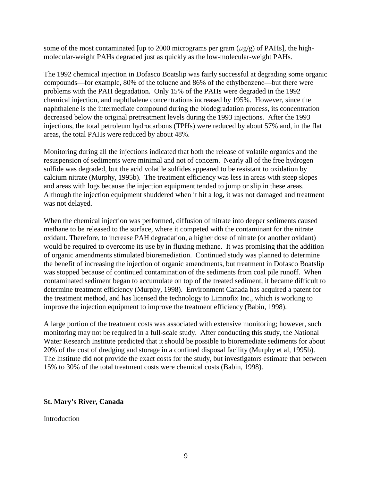some of the most contaminated [up to 2000 micrograms per gram  $(\mu g/g)$  of PAHs], the highmolecular-weight PAHs degraded just as quickly as the low-molecular-weight PAHs.

The 1992 chemical injection in Dofasco Boatslip was fairly successful at degrading some organic compounds—for example, 80% of the toluene and 86% of the ethylbenzene—but there were problems with the PAH degradation. Only 15% of the PAHs were degraded in the 1992 chemical injection, and naphthalene concentrations increased by 195%. However, since the naphthalene is the intermediate compound during the biodegradation process, its concentration decreased below the original pretreatment levels during the 1993 injections. After the 1993 injections, the total petroleum hydrocarbons (TPHs) were reduced by about 57% and, in the flat areas, the total PAHs were reduced by about 48%.

Monitoring during all the injections indicated that both the release of volatile organics and the resuspension of sediments were minimal and not of concern. Nearly all of the free hydrogen sulfide was degraded, but the acid volatile sulfides appeared to be resistant to oxidation by calcium nitrate (Murphy, 1995b). The treatment efficiency was less in areas with steep slopes and areas with logs because the injection equipment tended to jump or slip in these areas. Although the injection equipment shuddered when it hit a log, it was not damaged and treatment was not delayed.

When the chemical injection was performed, diffusion of nitrate into deeper sediments caused methane to be released to the surface, where it competed with the contaminant for the nitrate oxidant. Therefore, to increase PAH degradation, a higher dose of nitrate (or another oxidant) would be required to overcome its use by in fluxing methane. It was promising that the addition of organic amendments stimulated bioremediation. Continued study was planned to determine the benefit of increasing the injection of organic amendments, but treatment in Dofasco Boatslip was stopped because of continued contamination of the sediments from coal pile runoff. When contaminated sediment began to accumulate on top of the treated sediment, it became difficult to determine treatment efficiency (Murphy, 1998). Environment Canada has acquired a patent for the treatment method, and has licensed the technology to Limnofix Inc., which is working to improve the injection equipment to improve the treatment efficiency (Babin, 1998).

A large portion of the treatment costs was associated with extensive monitoring; however, such monitoring may not be required in a full-scale study. After conducting this study, the National Water Research Institute predicted that it should be possible to bioremediate sediments for about 20% of the cost of dredging and storage in a confined disposal facility (Murphy et al, 1995b). The Institute did not provide the exact costs for the study, but investigators estimate that between 15% to 30% of the total treatment costs were chemical costs (Babin, 1998).

#### **St. Mary's River, Canada**

#### Introduction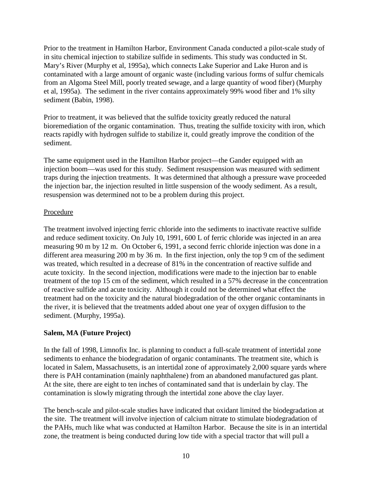Prior to the treatment in Hamilton Harbor, Environment Canada conducted a pilot-scale study of in situ chemical injection to stabilize sulfide in sediments. This study was conducted in St. Mary's River (Murphy et al, 1995a), which connects Lake Superior and Lake Huron and is contaminated with a large amount of organic waste (including various forms of sulfur chemicals from an Algoma Steel Mill, poorly treated sewage, and a large quantity of wood fiber) (Murphy et al, 1995a). The sediment in the river contains approximately 99% wood fiber and 1% silty sediment (Babin, 1998).

Prior to treatment, it was believed that the sulfide toxicity greatly reduced the natural bioremediation of the organic contamination. Thus, treating the sulfide toxicity with iron, which reacts rapidly with hydrogen sulfide to stabilize it, could greatly improve the condition of the sediment.

The same equipment used in the Hamilton Harbor project—the Gander equipped with an injection boom—was used for this study. Sediment resuspension was measured with sediment traps during the injection treatments. It was determined that although a pressure wave proceeded the injection bar, the injection resulted in little suspension of the woody sediment. As a result, resuspension was determined not to be a problem during this project.

## Procedure

The treatment involved injecting ferric chloride into the sediments to inactivate reactive sulfide and reduce sediment toxicity. On July 10, 1991, 600 L of ferric chloride was injected in an area measuring 90 m by 12 m. On October 6, 1991, a second ferric chloride injection was done in a different area measuring 200 m by 36 m. In the first injection, only the top 9 cm of the sediment was treated, which resulted in a decrease of 81% in the concentration of reactive sulfide and acute toxicity. In the second injection, modifications were made to the injection bar to enable treatment of the top 15 cm of the sediment, which resulted in a 57% decrease in the concentration of reactive sulfide and acute toxicity. Although it could not be determined what effect the treatment had on the toxicity and the natural biodegradation of the other organic contaminants in the river, it is believed that the treatments added about one year of oxygen diffusion to the sediment. (Murphy, 1995a).

## **Salem, MA (Future Project)**

In the fall of 1998, Limnofix Inc. is planning to conduct a full-scale treatment of intertidal zone sediments to enhance the biodegradation of organic contaminants. The treatment site, which is located in Salem, Massachusetts, is an intertidal zone of approximately 2,000 square yards where there is PAH contamination (mainly naphthalene) from an abandoned manufactured gas plant. At the site, there are eight to ten inches of contaminated sand that is underlain by clay. The contamination is slowly migrating through the intertidal zone above the clay layer.

The bench-scale and pilot-scale studies have indicated that oxidant limited the biodegradation at the site. The treatment will involve injection of calcium nitrate to stimulate biodegradation of the PAHs, much like what was conducted at Hamilton Harbor. Because the site is in an intertidal zone, the treatment is being conducted during low tide with a special tractor that will pull a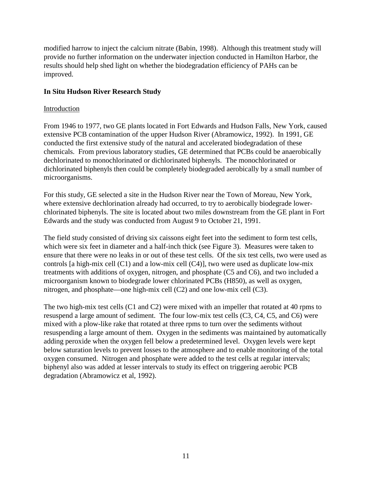modified harrow to inject the calcium nitrate (Babin, 1998). Although this treatment study will provide no further information on the underwater injection conducted in Hamilton Harbor, the results should help shed light on whether the biodegradation efficiency of PAHs can be improved.

## **In Situ Hudson River Research Study**

## Introduction

From 1946 to 1977, two GE plants located in Fort Edwards and Hudson Falls, New York, caused extensive PCB contamination of the upper Hudson River (Abramowicz, 1992). In 1991, GE conducted the first extensive study of the natural and accelerated biodegradation of these chemicals. From previous laboratory studies, GE determined that PCBs could be anaerobically dechlorinated to monochlorinated or dichlorinated biphenyls. The monochlorinated or dichlorinated biphenyls then could be completely biodegraded aerobically by a small number of microorganisms.

For this study, GE selected a site in the Hudson River near the Town of Moreau, New York, where extensive dechlorination already had occurred, to try to aerobically biodegrade lowerchlorinated biphenyls. The site is located about two miles downstream from the GE plant in Fort Edwards and the study was conducted from August 9 to October 21, 1991.

The field study consisted of driving six caissons eight feet into the sediment to form test cells, which were six feet in diameter and a half-inch thick (see Figure 3). Measures were taken to ensure that there were no leaks in or out of these test cells. Of the six test cells, two were used as controls [a high-mix cell (C1) and a low-mix cell (C4)], two were used as duplicate low-mix treatments with additions of oxygen, nitrogen, and phosphate (C5 and C6), and two included a microorganism known to biodegrade lower chlorinated PCBs (H850), as well as oxygen, nitrogen, and phosphate—one high-mix cell (C2) and one low-mix cell (C3).

The two high-mix test cells (C1 and C2) were mixed with an impeller that rotated at 40 rpms to resuspend a large amount of sediment. The four low-mix test cells (C3, C4, C5, and C6) were mixed with a plow-like rake that rotated at three rpms to turn over the sediments without resuspending a large amount of them. Oxygen in the sediments was maintained by automatically adding peroxide when the oxygen fell below a predetermined level. Oxygen levels were kept below saturation levels to prevent losses to the atmosphere and to enable monitoring of the total oxygen consumed. Nitrogen and phosphate were added to the test cells at regular intervals; biphenyl also was added at lesser intervals to study its effect on triggering aerobic PCB degradation (Abramowicz et al, 1992).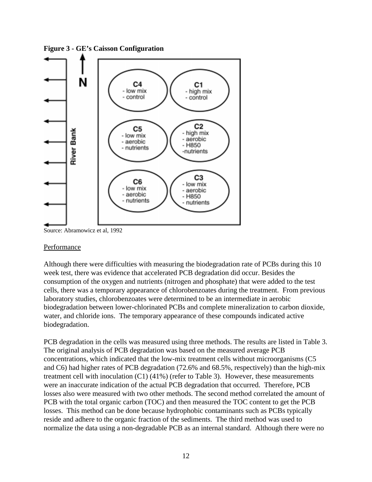

**Figure 3 - GE's Caisson Configuration**

Source: Abramowicz et al, 1992

#### Performance

Although there were difficulties with measuring the biodegradation rate of PCBs during this 10 week test, there was evidence that accelerated PCB degradation did occur. Besides the consumption of the oxygen and nutrients (nitrogen and phosphate) that were added to the test cells, there was a temporary appearance of chlorobenzoates during the treatment. From previous laboratory studies, chlorobenzoates were determined to be an intermediate in aerobic biodegradation between lower-chlorinated PCBs and complete mineralization to carbon dioxide, water, and chloride ions. The temporary appearance of these compounds indicated active biodegradation.

PCB degradation in the cells was measured using three methods. The results are listed in Table 3. The original analysis of PCB degradation was based on the measured average PCB concentrations, which indicated that the low-mix treatment cells without microorganisms (C5 and C6) had higher rates of PCB degradation (72.6% and 68.5%, respectively) than the high-mix treatment cell with inoculation (C1) (41%) (refer to Table 3). However, these measurements were an inaccurate indication of the actual PCB degradation that occurred. Therefore, PCB losses also were measured with two other methods. The second method correlated the amount of PCB with the total organic carbon (TOC) and then measured the TOC content to get the PCB losses. This method can be done because hydrophobic contaminants such as PCBs typically reside and adhere to the organic fraction of the sediments. The third method was used to normalize the data using a non-degradable PCB as an internal standard. Although there were no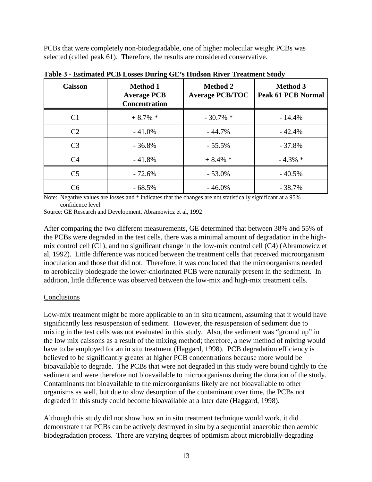PCBs that were completely non-biodegradable, one of higher molecular weight PCBs was selected (called peak 61). Therefore, the results are considered conservative.

| <b>Caisson</b> | <b>Method 1</b><br><b>Average PCB</b><br><b>Concentration</b> | <b>Method 2</b><br><b>Average PCB/TOC</b> | <b>Method 3</b><br><b>Peak 61 PCB Normal</b> |
|----------------|---------------------------------------------------------------|-------------------------------------------|----------------------------------------------|
| C <sub>1</sub> | $+8.7\%$ *                                                    | $-30.7\%$ *                               | $-14.4%$                                     |
| C <sub>2</sub> | $-41.0%$                                                      | $-44.7%$                                  | $-42.4%$                                     |
| C <sub>3</sub> | $-36.8%$                                                      | $-55.5%$                                  | $-37.8%$                                     |
| C4             | $-41.8%$                                                      | $+8.4\%$ *                                | $-4.3\%$ *                                   |
| C <sub>5</sub> | $-72.6%$                                                      | $-53.0%$                                  | $-40.5%$                                     |
| C6             | $-68.5%$                                                      | $-46.0\%$                                 | $-38.7%$                                     |

**Table 3 - Estimated PCB Losses During GE's Hudson River Treatment Study**

Note: Negative values are losses and \* indicates that the changes are not statistically significant at a 95% confidence level.

Source: GE Research and Development, Abramowicz et al, 1992

After comparing the two different measurements, GE determined that between 38% and 55% of the PCBs were degraded in the test cells, there was a minimal amount of degradation in the highmix control cell (C1), and no significant change in the low-mix control cell (C4) (Abramowicz et al, 1992). Little difference was noticed between the treatment cells that received microorganism inoculation and those that did not. Therefore, it was concluded that the microorganisms needed to aerobically biodegrade the lower-chlorinated PCB were naturally present in the sediment. In addition, little difference was observed between the low-mix and high-mix treatment cells.

#### **Conclusions**

Low-mix treatment might be more applicable to an in situ treatment, assuming that it would have significantly less resuspension of sediment. However, the resuspension of sediment due to mixing in the test cells was not evaluated in this study. Also, the sediment was "ground up" in the low mix caissons as a result of the mixing method; therefore, a new method of mixing would have to be employed for an in situ treatment (Haggard, 1998). PCB degradation efficiency is believed to be significantly greater at higher PCB concentrations because more would be bioavailable to degrade. The PCBs that were not degraded in this study were bound tightly to the sediment and were therefore not bioavailable to microorganisms during the duration of the study. Contaminants not bioavailable to the microorganisms likely are not bioavailable to other organisms as well, but due to slow desorption of the contaminant over time, the PCBs not degraded in this study could become bioavailable at a later date (Haggard, 1998).

Although this study did not show how an in situ treatment technique would work, it did demonstrate that PCBs can be actively destroyed in situ by a sequential anaerobic then aerobic biodegradation process. There are varying degrees of optimism about microbially-degrading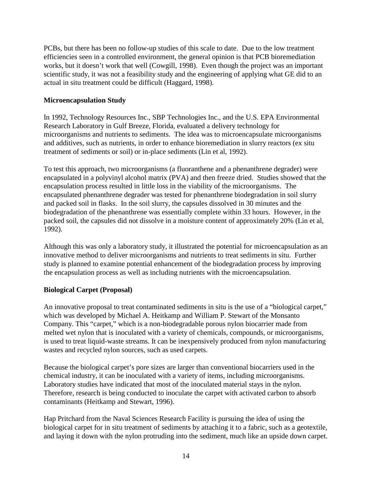PCBs, but there has been no follow-up studies of this scale to date. Due to the low treatment efficiencies seen in a controlled environment, the general opinion is that PCB bioremediation works, but it doesn't work that well (Cowgill, 1998). Even though the project was an important scientific study, it was not a feasibility study and the engineering of applying what GE did to an actual in situ treatment could be difficult (Haggard, 1998).

# **Microencapsulation Study**

In 1992, Technology Resources Inc., SBP Technologies Inc., and the U.S. EPA Environmental Research Laboratory in Gulf Breeze, Florida, evaluated a delivery technology for microorganisms and nutrients to sediments. The idea was to microencapsulate microorganisms and additives, such as nutrients, in order to enhance bioremediation in slurry reactors (ex situ treatment of sediments or soil) or in-place sediments (Lin et al, 1992).

To test this approach, two microorganisms (a fluoranthene and a phenanthrene degrader) were encapsulated in a polyvinyl alcohol matrix (PVA) and then freeze dried. Studies showed that the encapsulation process resulted in little loss in the viability of the microorganisms. The encapsulated phenanthrene degrader was tested for phenanthrene biodegradation in soil slurry and packed soil in flasks. In the soil slurry, the capsules dissolved in 30 minutes and the biodegradation of the phenanthrene was essentially complete within 33 hours. However, in the packed soil, the capsules did not dissolve in a moisture content of approximately 20% (Lin et al, 1992).

Although this was only a laboratory study, it illustrated the potential for microencapsulation as an innovative method to deliver microorganisms and nutrients to treat sediments in situ. Further study is planned to examine potential enhancement of the biodegradation process by improving the encapsulation process as well as including nutrients with the microencapsulation.

## **Biological Carpet (Proposal)**

An innovative proposal to treat contaminated sediments in situ is the use of a "biological carpet," which was developed by Michael A. Heitkamp and William P. Stewart of the Monsanto Company. This "carpet," which is a non-biodegradable porous nylon biocarrier made from melted wet nylon that is inoculated with a variety of chemicals, compounds, or microorganisms, is used to treat liquid-waste streams. It can be inexpensively produced from nylon manufacturing wastes and recycled nylon sources, such as used carpets.

Because the biological carpet's pore sizes are larger than conventional biocarriers used in the chemical industry, it can be inoculated with a variety of items, including microorganisms. Laboratory studies have indicated that most of the inoculated material stays in the nylon. Therefore, research is being conducted to inoculate the carpet with activated carbon to absorb contaminants (Heitkamp and Stewart, 1996).

Hap Pritchard from the Naval Sciences Research Facility is pursuing the idea of using the biological carpet for in situ treatment of sediments by attaching it to a fabric, such as a geotextile, and laying it down with the nylon protruding into the sediment, much like an upside down carpet.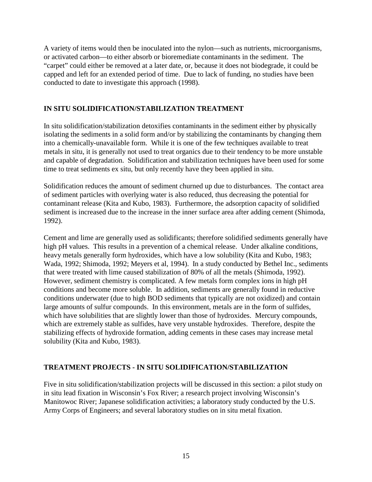A variety of items would then be inoculated into the nylon—such as nutrients, microorganisms, or activated carbon—to either absorb or bioremediate contaminants in the sediment. The "carpet" could either be removed at a later date, or, because it does not biodegrade, it could be capped and left for an extended period of time. Due to lack of funding, no studies have been conducted to date to investigate this approach (1998).

# **IN SITU SOLIDIFICATION/STABILIZATION TREATMENT**

In situ solidification/stabilization detoxifies contaminants in the sediment either by physically isolating the sediments in a solid form and/or by stabilizing the contaminants by changing them into a chemically-unavailable form. While it is one of the few techniques available to treat metals in situ, it is generally not used to treat organics due to their tendency to be more unstable and capable of degradation. Solidification and stabilization techniques have been used for some time to treat sediments ex situ, but only recently have they been applied in situ.

Solidification reduces the amount of sediment churned up due to disturbances. The contact area of sediment particles with overlying water is also reduced, thus decreasing the potential for contaminant release (Kita and Kubo, 1983). Furthermore, the adsorption capacity of solidified sediment is increased due to the increase in the inner surface area after adding cement (Shimoda, 1992).

Cement and lime are generally used as solidificants; therefore solidified sediments generally have high pH values. This results in a prevention of a chemical release. Under alkaline conditions, heavy metals generally form hydroxides, which have a low solubility (Kita and Kubo, 1983; Wada, 1992; Shimoda, 1992; Meyers et al, 1994). In a study conducted by Bethel Inc., sediments that were treated with lime caused stabilization of 80% of all the metals (Shimoda, 1992). However, sediment chemistry is complicated. A few metals form complex ions in high pH conditions and become more soluble. In addition, sediments are generally found in reductive conditions underwater (due to high BOD sediments that typically are not oxidized) and contain large amounts of sulfur compounds. In this environment, metals are in the form of sulfides, which have solubilities that are slightly lower than those of hydroxides. Mercury compounds, which are extremely stable as sulfides, have very unstable hydroxides. Therefore, despite the stabilizing effects of hydroxide formation, adding cements in these cases may increase metal solubility (Kita and Kubo, 1983).

# **TREATMENT PROJECTS - IN SITU SOLIDIFICATION/STABILIZATION**

Five in situ solidification/stabilization projects will be discussed in this section: a pilot study on in situ lead fixation in Wisconsin's Fox River; a research project involving Wisconsin's Manitowoc River; Japanese solidification activities; a laboratory study conducted by the U.S. Army Corps of Engineers; and several laboratory studies on in situ metal fixation.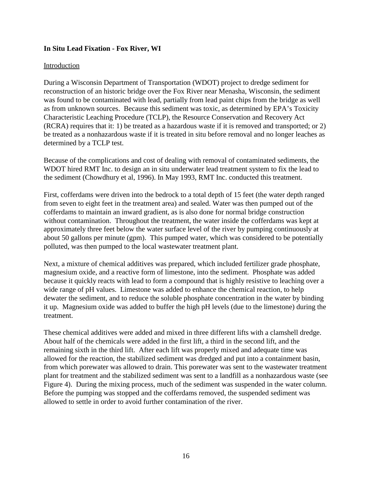#### **In Situ Lead Fixation - Fox River, WI**

#### Introduction

During a Wisconsin Department of Transportation (WDOT) project to dredge sediment for reconstruction of an historic bridge over the Fox River near Menasha, Wisconsin, the sediment was found to be contaminated with lead, partially from lead paint chips from the bridge as well as from unknown sources. Because this sediment was toxic, as determined by EPA's Toxicity Characteristic Leaching Procedure (TCLP), the Resource Conservation and Recovery Act (RCRA) requires that it: 1) be treated as a hazardous waste if it is removed and transported; or 2) be treated as a nonhazardous waste if it is treated in situ before removal and no longer leaches as determined by a TCLP test.

Because of the complications and cost of dealing with removal of contaminated sediments, the WDOT hired RMT Inc. to design an in situ underwater lead treatment system to fix the lead to the sediment (Chowdhury et al, 1996). In May 1993, RMT Inc. conducted this treatment.

First, cofferdams were driven into the bedrock to a total depth of 15 feet (the water depth ranged from seven to eight feet in the treatment area) and sealed. Water was then pumped out of the cofferdams to maintain an inward gradient, as is also done for normal bridge construction without contamination. Throughout the treatment, the water inside the cofferdams was kept at approximately three feet below the water surface level of the river by pumping continuously at about 50 gallons per minute (gpm). This pumped water, which was considered to be potentially polluted, was then pumped to the local wastewater treatment plant.

Next, a mixture of chemical additives was prepared, which included fertilizer grade phosphate, magnesium oxide, and a reactive form of limestone, into the sediment. Phosphate was added because it quickly reacts with lead to form a compound that is highly resistive to leaching over a wide range of pH values. Limestone was added to enhance the chemical reaction, to help dewater the sediment, and to reduce the soluble phosphate concentration in the water by binding it up. Magnesium oxide was added to buffer the high pH levels (due to the limestone) during the treatment.

These chemical additives were added and mixed in three different lifts with a clamshell dredge. About half of the chemicals were added in the first lift, a third in the second lift, and the remaining sixth in the third lift. After each lift was properly mixed and adequate time was allowed for the reaction, the stabilized sediment was dredged and put into a containment basin, from which porewater was allowed to drain. This porewater was sent to the wastewater treatment plant for treatment and the stabilized sediment was sent to a landfill as a nonhazardous waste (see Figure 4). During the mixing process, much of the sediment was suspended in the water column. Before the pumping was stopped and the cofferdams removed, the suspended sediment was allowed to settle in order to avoid further contamination of the river.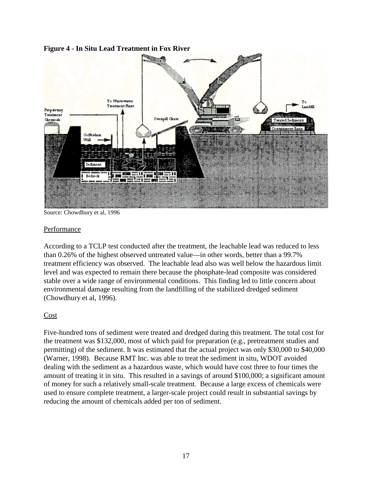



Source: Chowdhury et al, 1996

#### Performance

According to a TCLP test conducted after the treatment, the leachable lead was reduced to less than 0.26% of the highest observed untreated value—in other words, better than a 99.7% treatment efficiency was observed. The leachable lead also was well below the hazardous limit level and was expected to remain there because the phosphate-lead composite was considered stable over a wide range of environmental conditions. This finding led to little concern about environmental damage resulting from the landfilling of the stabilized dredged sediment (Chowdhury et al, 1996).

## Cost

Five-hundred tons of sediment were treated and dredged during this treatment. The total cost for the treatment was \$132,000, most of which paid for preparation (e.g., pretreatment studies and permitting) of the sediment. It was estimated that the actual project was only \$30,000 to \$40,000 (Warner, 1998). Because RMT Inc. was able to treat the sediment in situ, WDOT avoided dealing with the sediment as a hazardous waste, which would have cost three to four times the amount of treating it in situ. This resulted in a savings of around \$100,000; a significant amount of money for such a relatively small-scale treatment. Because a large excess of chemicals were used to ensure complete treatment, a larger-scale project could result in substantial savings by reducing the amount of chemicals added per ton of sediment.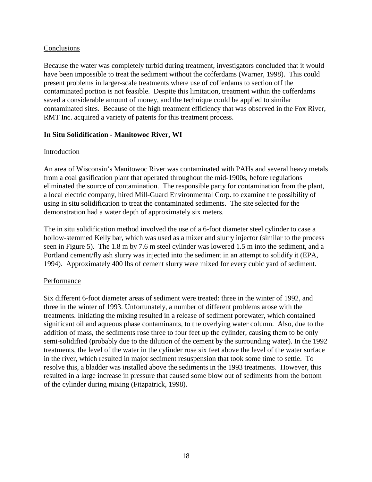#### Conclusions

Because the water was completely turbid during treatment, investigators concluded that it would have been impossible to treat the sediment without the cofferdams (Warner, 1998). This could present problems in larger-scale treatments where use of cofferdams to section off the contaminated portion is not feasible. Despite this limitation, treatment within the cofferdams saved a considerable amount of money, and the technique could be applied to similar contaminated sites. Because of the high treatment efficiency that was observed in the Fox River, RMT Inc. acquired a variety of patents for this treatment process.

#### **In Situ Solidification - Manitowoc River, WI**

#### Introduction

An area of Wisconsin's Manitowoc River was contaminated with PAHs and several heavy metals from a coal gasification plant that operated throughout the mid-1900s, before regulations eliminated the source of contamination. The responsible party for contamination from the plant, a local electric company, hired Mill-Guard Environmental Corp. to examine the possibility of using in situ solidification to treat the contaminated sediments. The site selected for the demonstration had a water depth of approximately six meters.

The in situ solidification method involved the use of a 6-foot diameter steel cylinder to case a hollow-stemmed Kelly bar, which was used as a mixer and slurry injector (similar to the process seen in Figure 5). The 1.8 m by 7.6 m steel cylinder was lowered 1.5 m into the sediment, and a Portland cement/fly ash slurry was injected into the sediment in an attempt to solidify it (EPA, 1994). Approximately 400 lbs of cement slurry were mixed for every cubic yard of sediment.

#### Performance

Six different 6-foot diameter areas of sediment were treated: three in the winter of 1992, and three in the winter of 1993. Unfortunately, a number of different problems arose with the treatments. Initiating the mixing resulted in a release of sediment porewater, which contained significant oil and aqueous phase contaminants, to the overlying water column. Also, due to the addition of mass, the sediments rose three to four feet up the cylinder, causing them to be only semi-solidified (probably due to the dilution of the cement by the surrounding water). In the 1992 treatments, the level of the water in the cylinder rose six feet above the level of the water surface in the river, which resulted in major sediment resuspension that took some time to settle. To resolve this, a bladder was installed above the sediments in the 1993 treatments. However, this resulted in a large increase in pressure that caused some blow out of sediments from the bottom of the cylinder during mixing (Fitzpatrick, 1998).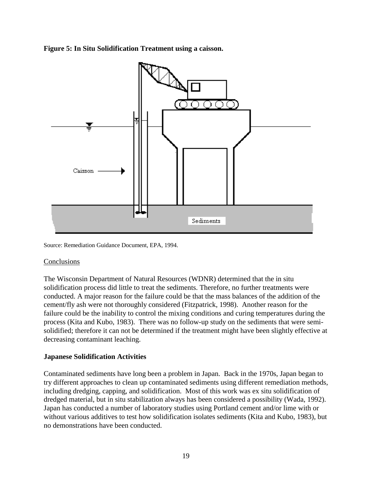**Figure 5: In Situ Solidification Treatment using a caisson.**



Source: Remediation Guidance Document, EPA, 1994.

## Conclusions

The Wisconsin Department of Natural Resources (WDNR) determined that the in situ solidification process did little to treat the sediments. Therefore, no further treatments were conducted. A major reason for the failure could be that the mass balances of the addition of the cement/fly ash were not thoroughly considered (Fitzpatrick, 1998). Another reason for the failure could be the inability to control the mixing conditions and curing temperatures during the process (Kita and Kubo, 1983). There was no follow-up study on the sediments that were semisolidified; therefore it can not be determined if the treatment might have been slightly effective at decreasing contaminant leaching.

# **Japanese Solidification Activities**

Contaminated sediments have long been a problem in Japan. Back in the 1970s, Japan began to try different approaches to clean up contaminated sediments using different remediation methods, including dredging, capping, and solidification. Most of this work was ex situ solidification of dredged material, but in situ stabilization always has been considered a possibility (Wada, 1992). Japan has conducted a number of laboratory studies using Portland cement and/or lime with or without various additives to test how solidification isolates sediments (Kita and Kubo, 1983), but no demonstrations have been conducted.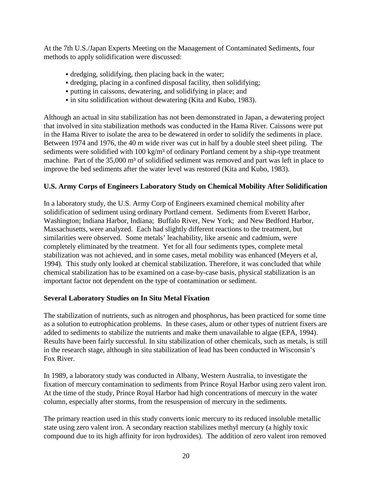At the 7th U.S./Japan Experts Meeting on the Management of Contaminated Sediments, four methods to apply solidification were discussed:

- & dredging, solidifying, then placing back in the water;
- & dredging, placing in a confined disposal facility, then solidifying;
- & putting in caissons, dewatering, and solidifying in place; and
- & in situ solidification without dewatering (Kita and Kubo, 1983).

Although an actual in situ stabilization has not been demonstrated in Japan, a dewatering project that involved in situ stabilization methods was conducted in the Hama River. Caissons were put in the Hama River to isolate the area to be dewatered in order to solidify the sediments in place. Between 1974 and 1976, the 40 m wide river was cut in half by a double steel sheet piling. The sediments were solidified with  $100 \text{ kg/m}^3$  of ordinary Portland cement by a ship-type treatment machine. Part of the 35,000 m<sup>3</sup> of solidified sediment was removed and part was left in place to improve the bed sediments after the water level was restored (Kita and Kubo, 1983).

# **U.S. Army Corps of Engineers Laboratory Study on Chemical Mobility After Solidification**

In a laboratory study, the U.S. Army Corp of Engineers examined chemical mobility after solidification of sediment using ordinary Portland cement. Sediments from Everett Harbor, Washington; Indiana Harbor, Indiana; Buffalo River, New York; and New Bedford Harbor, Massachusetts, were analyzed. Each had slightly different reactions to the treatment, but similarities were observed. Some metals' leachability, like arsenic and cadmium, were completely eliminated by the treatment. Yet for all four sediments types, complete metal stabilization was not achieved, and in some cases, metal mobility was enhanced (Meyers et al, 1994). This study only looked at chemical stabilization. Therefore, it was concluded that while chemical stabilization has to be examined on a case-by-case basis, physical stabilization is an important factor not dependent on the type of contamination or sediment.

## **Several Laboratory Studies on In Situ Metal Fixation**

The stabilization of nutrients, such as nitrogen and phosphorus, has been practiced for some time as a solution to eutrophication problems. In these cases, alum or other types of nutrient fixers are added to sediments to stabilize the nutrients and make them unavailable to algae (EPA, 1994). Results have been fairly successful. In situ stabilization of other chemicals, such as metals, is still in the research stage, although in situ stabilization of lead has been conducted in Wisconsin's Fox River.

In 1989, a laboratory study was conducted in Albany, Western Australia, to investigate the fixation of mercury contamination to sediments from Prince Royal Harbor using zero valent iron. At the time of the study, Prince Royal Harbor had high concentrations of mercury in the water column, especially after storms, from the resuspension of mercury in the sediments.

The primary reaction used in this study converts ionic mercury to its reduced insoluble metallic state using zero valent iron. A secondary reaction stabilizes methyl mercury (a highly toxic compound due to its high affinity for iron hydroxides). The addition of zero valent iron removed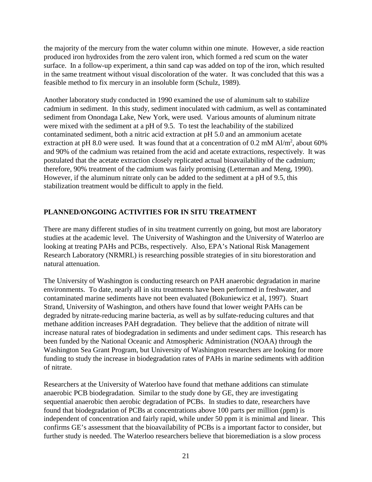the majority of the mercury from the water column within one minute. However, a side reaction produced iron hydroxides from the zero valent iron, which formed a red scum on the water surface. In a follow-up experiment, a thin sand cap was added on top of the iron, which resulted in the same treatment without visual discoloration of the water. It was concluded that this was a feasible method to fix mercury in an insoluble form (Schulz, 1989).

Another laboratory study conducted in 1990 examined the use of aluminum salt to stabilize cadmium in sediment. In this study, sediment inoculated with cadmium, as well as contaminated sediment from Onondaga Lake, New York, were used. Various amounts of aluminum nitrate were mixed with the sediment at a pH of 9.5. To test the leachability of the stabilized contaminated sediment, both a nitric acid extraction at pH 5.0 and an ammonium acetate extraction at pH 8.0 were used. It was found that at a concentration of 0.2 mM Al/m<sup>2</sup>, about 60% and 90% of the cadmium was retained from the acid and acetate extractions, respectively. It was postulated that the acetate extraction closely replicated actual bioavailability of the cadmium; therefore, 90% treatment of the cadmium was fairly promising (Letterman and Meng, 1990). However, if the aluminum nitrate only can be added to the sediment at a pH of 9.5, this stabilization treatment would be difficult to apply in the field.

# **PLANNED/ONGOING ACTIVITIES FOR IN SITU TREATMENT**

There are many different studies of in situ treatment currently on going, but most are laboratory studies at the academic level. The University of Washington and the University of Waterloo are looking at treating PAHs and PCBs, respectively. Also, EPA's National Risk Management Research Laboratory (NRMRL) is researching possible strategies of in situ biorestoration and natural attenuation.

The University of Washington is conducting research on PAH anaerobic degradation in marine environments. To date, nearly all in situ treatments have been performed in freshwater, and contaminated marine sediments have not been evaluated (Bokuniewicz et al, 1997). Stuart Strand, University of Washington, and others have found that lower weight PAHs can be degraded by nitrate-reducing marine bacteria, as well as by sulfate-reducing cultures and that methane addition increases PAH degradation. They believe that the addition of nitrate will increase natural rates of biodegradation in sediments and under sediment caps. This research has been funded by the National Oceanic and Atmospheric Administration (NOAA) through the Washington Sea Grant Program, but University of Washington researchers are looking for more funding to study the increase in biodegradation rates of PAHs in marine sediments with addition of nitrate.

Researchers at the University of Waterloo have found that methane additions can stimulate anaerobic PCB biodegradation. Similar to the study done by GE, they are investigating sequential anaerobic then aerobic degradation of PCBs. In studies to date, researchers have found that biodegradation of PCBs at concentrations above 100 parts per million (ppm) is independent of concentration and fairly rapid, while under 50 ppm it is minimal and linear. This confirms GE's assessment that the bioavailability of PCBs is a important factor to consider, but further study is needed. The Waterloo researchers believe that bioremediation is a slow process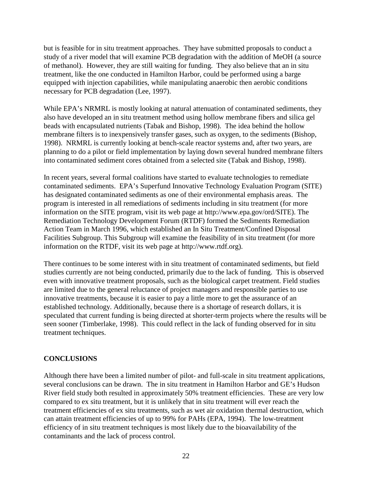but is feasible for in situ treatment approaches. They have submitted proposals to conduct a study of a river model that will examine PCB degradation with the addition of MeOH (a source of methanol). However, they are still waiting for funding. They also believe that an in situ treatment, like the one conducted in Hamilton Harbor, could be performed using a barge equipped with injection capabilities, while manipulating anaerobic then aerobic conditions necessary for PCB degradation (Lee, 1997).

While EPA's NRMRL is mostly looking at natural attenuation of contaminated sediments, they also have developed an in situ treatment method using hollow membrane fibers and silica gel beads with encapsulated nutrients (Tabak and Bishop, 1998). The idea behind the hollow membrane filters is to inexpensively transfer gases, such as oxygen, to the sediments (Bishop, 1998). NRMRL is currently looking at bench-scale reactor systems and, after two years, are planning to do a pilot or field implementation by laying down several hundred membrane filters into contaminated sediment cores obtained from a selected site (Tabak and Bishop, 1998).

In recent years, several formal coalitions have started to evaluate technologies to remediate contaminated sediments. EPA's Superfund Innovative Technology Evaluation Program (SITE) has designated contaminated sediments as one of their environmental emphasis areas. The program is interested in all remediations of sediments including in situ treatment (for more information on the SITE program, visit its web page at http://www.epa.gov/ord/SITE). The Remediation Technology Development Forum (RTDF) formed the Sediments Remediation Action Team in March 1996, which established an In Situ Treatment/Confined Disposal Facilities Subgroup. This Subgroup will examine the feasibility of in situ treatment (for more information on the RTDF, visit its web page at http://www.rtdf.org).

There continues to be some interest with in situ treatment of contaminated sediments, but field studies currently are not being conducted, primarily due to the lack of funding. This is observed even with innovative treatment proposals, such as the biological carpet treatment. Field studies are limited due to the general reluctance of project managers and responsible parties to use innovative treatments, because it is easier to pay a little more to get the assurance of an established technology. Additionally, because there is a shortage of research dollars, it is speculated that current funding is being directed at shorter-term projects where the results will be seen sooner (Timberlake, 1998). This could reflect in the lack of funding observed for in situ treatment techniques.

## **CONCLUSIONS**

Although there have been a limited number of pilot- and full-scale in situ treatment applications, several conclusions can be drawn. The in situ treatment in Hamilton Harbor and GE's Hudson River field study both resulted in approximately 50% treatment efficiencies. These are very low compared to ex situ treatment, but it is unlikely that in situ treatment will ever reach the treatment efficiencies of ex situ treatments, such as wet air oxidation thermal destruction, which can attain treatment efficiencies of up to 99% for PAHs (EPA, 1994). The low-treatment efficiency of in situ treatment techniques is most likely due to the bioavailability of the contaminants and the lack of process control.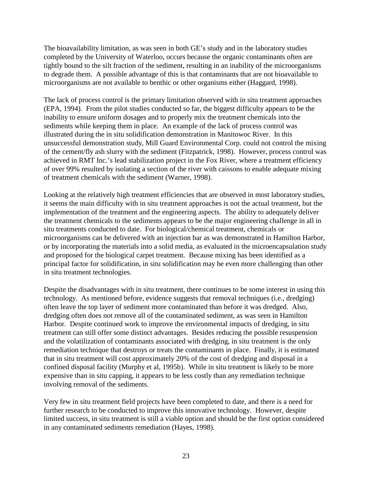The bioavailability limitation, as was seen in both GE's study and in the laboratory studies completed by the University of Waterloo, occurs because the organic contaminants often are tightly bound to the silt fraction of the sediment, resulting in an inability of the microorganisms to degrade them. A possible advantage of this is that contaminants that are not bioavailable to microorganisms are not available to benthic or other organisms either (Haggard, 1998).

The lack of process control is the primary limitation observed with in situ treatment approaches (EPA, 1994). From the pilot studies conducted so far, the biggest difficulty appears to be the inability to ensure uniform dosages and to properly mix the treatment chemicals into the sediments while keeping them in place. An example of the lack of process control was illustrated during the in situ solidification demonstration in Manitowoc River. In this unsuccessful demonstration study, Mill Guard Environmental Corp. could not control the mixing of the cement/fly ash slurry with the sediment (Fitzpatrick, 1998). However, process control was achieved in RMT Inc.'s lead stabilization project in the Fox River, where a treatment efficiency of over 99% resulted by isolating a section of the river with caissons to enable adequate mixing of treatment chemicals with the sediment (Warner, 1998).

Looking at the relatively high treatment efficiencies that are observed in most laboratory studies, it seems the main difficulty with in situ treatment approaches is not the actual treatment, but the implementation of the treatment and the engineering aspects. The ability to adequately deliver the treatment chemicals to the sediments appears to be the major engineering challenge in all in situ treatments conducted to date. For biological/chemical treatment, chemicals or microorganisms can be delivered with an injection bar as was demonstrated in Hamilton Harbor, or by incorporating the materials into a solid media, as evaluated in the microencapsulation study and proposed for the biological carpet treatment. Because mixing has been identified as a principal factor for solidification, in situ solidification may be even more challenging than other in situ treatment technologies.

Despite the disadvantages with in situ treatment, there continues to be some interest in using this technology. As mentioned before, evidence suggests that removal techniques (i.e., dredging) often leave the top layer of sediment more contaminated than before it was dredged. Also, dredging often does not remove all of the contaminated sediment, as was seen in Hamilton Harbor. Despite continued work to improve the environmental impacts of dredging, in situ treatment can still offer some distinct advantages. Besides reducing the possible resuspension and the volatilization of contaminants associated with dredging, in situ treatment is the only remediation technique that destroys or treats the contaminants in place. Finally, it is estimated that in situ treatment will cost approximately 20% of the cost of dredging and disposal in a confined disposal facility (Murphy et al, 1995b). While in situ treatment is likely to be more expensive than in situ capping, it appears to be less costly than any remediation technique involving removal of the sediments.

Very few in situ treatment field projects have been completed to date, and there is a need for further research to be conducted to improve this innovative technology. However, despite limited success, in situ treatment is still a viable option and should be the first option considered in any contaminated sediments remediation (Hayes, 1998).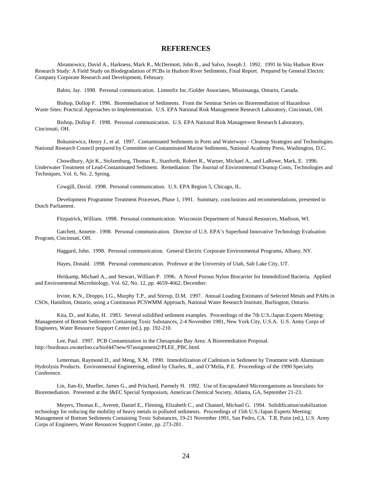#### **REFERENCES**

Abramowicz, David A., Harkness, Mark R., McDermott, John B., and Salvo, Joseph J. 1992. 1991 In Situ Hudson River Research Study: A Field Study on Biodegradation of PCBs in Hudson River Sediments, Final Report. Prepared by General Electric Company Corporate Research and Development, February.

Babin, Jay. 1998. Personal communication. Limnofix Inc./Golder Associates, Mississauga, Ontario, Canada.

Bishop, Dollop F. 1996. Bioremediation of Sediments. From the Seminar Series on Bioremediation of Hazardous Waste Sites: Practical Approaches to Implementation. U.S. EPA National Risk Management Research Laboratory, Cincinnati, OH.

Bishop, Dollop F. 1998. Personal communication. U.S. EPA National Risk Management Research Laboratory, Cincinnati, OH.

Bokuniewicz, Henry J., et al. 1997. Contaminated Sediments in Ports and Waterways - Cleanup Strategies and Technologies. National Research Council prepared by Committee on Contaminated Marine Sediments, National Academy Press, Washington, D.C.

Chowdhury, Ajit K., Stolzenburg, Thomas R., Stanforth, Robert R., Warner, Michael A., and LaRowe, Mark, E. 1996. Underwater Treatment of Lead-Contaminated Sediment. Remediation: The Journal of Environmental Cleanup Costs, Technologies and Techniques, Vol. 6, No. 2, Spring.

Cowgill, David. 1998. Personal communication. U.S. EPA Region 5, Chicago, IL.

Development Programme Treatment Processes, Phase 1, 1991. Summary, conclusions and recommendations, presented to Dutch Parliament.

Fitzpatrick, William. 1998. Personal communication. Wisconsin Department of Natural Resources, Madison, WI.

Gatchett, Annette. 1998. Personal communication. Director of U.S. EPA's Superfund Innovative Technology Evaluation Program, Cincinnati, OH.

Haggard, John. 1998. Personal communication. General Electric Corporate Environmental Programs, Albany, NY.

Hayes, Donald. 1998. Personal communication. Professor at the University of Utah, Salt Lake City, UT.

Heitkamp, Michael A., and Stewart, William P. 1996. A Novel Porous Nylon Biocarrier for Immobilized Bacteria. Applied and Environmental Microbiology, Vol. 62, No. 12, pp. 4659-4662, December.

Irvine, K.N., Droppo, I.G., Murphy T.P., and Stirrup, D.M. 1997. Annual Loading Estimates of Selected Metals and PAHs in CSOs, Hamilton, Ontario, using a Continuous PCSWMM Approach, National Water Research Institute, Burlington, Ontario.

Kita, D., and Kubo, H. 1983. Several solidified sediment examples. Proceedings of the 7th U.S./Japan Experts Meeting: Management of Bottom Sediments Containing Toxic Substances, 2-4 November 1981, New York City, U.S.A. U.S. Army Corps of Engineers, Water Resource Support Center (ed.), pp. 192-210.

Lee, Paul. 1997. PCB Contamination in the Chesapeake Bay Area: A Bioremediation Proposal. http://bordeaux.uwaterloo.ca/biol447new/97assignment2/PLEE\_PBC.html.

Letterman, Raymond D., and Meng, X.M. 1990. Immobilization of Cadmium in Sediment by Treatment with Aluminum Hydrolysis Products. Environmental Engineering, edited by Charles, R., and O'Melia, P.E. Proceedings of the 1990 Specialty Conference.

Lin, Jian-Er, Mueller, James G., and Pritchard, Parmely H. 1992. Use of Encapsulated Microorganisms as Inoculants for Bioremediation. Presented at the I&EC Special Symposium, American Chemical Society, Atlanta, GA, September 21-23.

Meyers, Thomas E., Averett, Daniel E., Fleming, Elizabeth C., and Channel, Michael G. 1994. Solidification/stabilization technology for reducing the mobility of heavy metals in polluted sediments. Proceedings of 15th U.S./Japan Experts Meeting: Management of Bottom Sediments Containing Toxic Substances, 19-21 November 1991, San Pedro, CA. T.R. Patin (ed.), U.S. Army Corps of Engineers, Water Resources Support Center, pp. 273-281.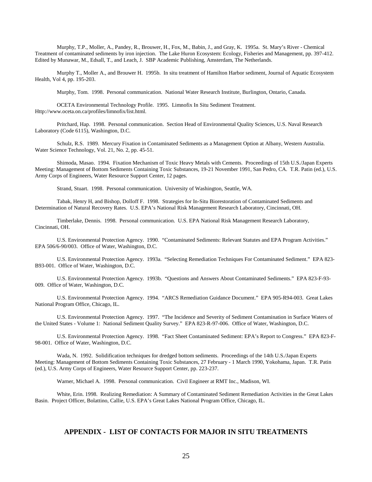Murphy, T.P., Moller, A., Pandey, R., Brouwer, H., Fox, M., Babin, J., and Gray, K. 1995a. St. Mary's River - Chemical Treatment of contaminated sediments by iron injection. The Lake Huron Ecosystem: Ecology, Fisheries and Management, pp. 397-412. Edited by Munawar, M., Edsall, T., and Leach, J. SBP Academic Publishing, Amsterdam, The Netherlands.

Murphy T., Moller A., and Brouwer H. 1995b. In situ treatment of Hamilton Harbor sediment, Journal of Aquatic Ecosystem Health, Vol 4, pp. 195-203.

Murphy, Tom. 1998. Personal communication. National Water Research Institute, Burlington, Ontario, Canada.

OCETA Environmental Technology Profile. 1995. Limnofix In Situ Sediment Treatment. Http://www.oceta.on.ca/profiles/limnofix/list.html.

Pritchard, Hap. 1998. Personal communication. Section Head of Environmental Quality Sciences, U.S. Naval Research Laboratory (Code 6115), Washington, D.C.

Schulz, R.S. 1989. Mercury Fixation in Contaminated Sediments as a Management Option at Albany, Western Australia. Water Science Technology, Vol. 21, No. 2, pp. 45-51.

Shimoda, Masao. 1994. Fixation Mechanism of Toxic Heavy Metals with Cements. Proceedings of 15th U.S./Japan Experts Meeting: Management of Bottom Sediments Containing Toxic Substances, 19-21 November 1991, San Pedro, CA. T.R. Patin (ed.), U.S. Army Corps of Engineers, Water Resource Support Center, 12 pages.

Strand, Stuart. 1998. Personal communication. University of Washington, Seattle, WA.

Tabak, Henry H, and Bishop, Dolloff F. 1998. Strategies for In-Situ Biorestoration of Contaminated Sediments and Determination of Natural Recovery Rates. U.S. EPA's National Risk Management Research Laboratory, Cincinnati, OH.

Timberlake, Dennis. 1998. Personal communication. U.S. EPA National Risk Management Research Laboratory, Cincinnati, OH.

U.S. Environmental Protection Agency. 1990. "Contaminated Sediments: Relevant Statutes and EPA Program Activities." EPA 506/6-90/003. Office of Water, Washington, D.C.

U.S. Environmental Protection Agency. 1993a. "Selecting Remediation Techniques For Contaminated Sediment." EPA 823- B93-001. Office of Water, Washington, D.C.

U.S. Environmental Protection Agency. 1993b. "Questions and Answers About Contaminated Sediments." EPA 823-F-93- 009. Office of Water, Washington, D.C.

U.S. Environmental Protection Agency. 1994. "ARCS Remediation Guidance Document." EPA 905-R94-003. Great Lakes National Program Office, Chicago, IL.

U.S. Environmental Protection Agency. 1997. "The Incidence and Severity of Sediment Contamination in Surface Waters of the United States - Volume 1: National Sediment Quality Survey." EPA 823-R-97-006. Office of Water, Washington, D.C.

U.S. Environmental Protection Agency. 1998. "Fact Sheet Contaminated Sediment: EPA's Report to Congress." EPA 823-F-98-001. Office of Water, Washington, D.C.

Wada, N. 1992. Solidification techniques for dredged bottom sediments. Proceedings of the 14th U.S./Japan Experts Meeting: Management of Bottom Sediments Containing Toxic Substances, 27 February - 1 March 1990, Yokohama, Japan. T.R. Patin (ed.), U.S. Army Corps of Engineers, Water Resource Support Center, pp. 223-237.

Warner, Michael A. 1998. Personal communication. Civil Engineer at RMT Inc., Madison, WI.

White, Erin. 1998. Realizing Remediation: A Summary of Contaminated Sediment Remediation Activities in the Great Lakes Basin. Project Officer, Bolattino, Callie, U.S. EPA's Great Lakes National Program Office, Chicago, IL.

#### **APPENDIX - LIST OF CONTACTS FOR MAJOR IN SITU TREATMENTS**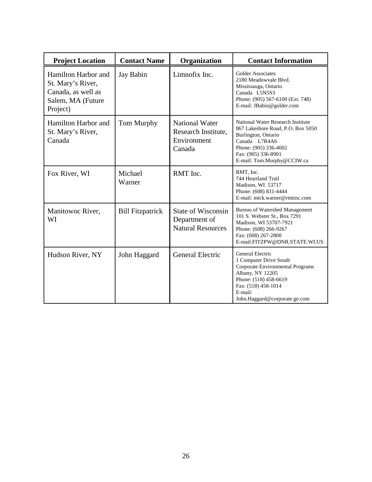| <b>Project Location</b>                                                                         | <b>Contact Name</b>     | Organization                                                           | <b>Contact Information</b>                                                                                                                                                                     |
|-------------------------------------------------------------------------------------------------|-------------------------|------------------------------------------------------------------------|------------------------------------------------------------------------------------------------------------------------------------------------------------------------------------------------|
| Hamilton Harbor and<br>St. Mary's River,<br>Canada, as well as<br>Salem, MA (Future<br>Project) | Jay Babin               | Limnofix Inc.                                                          | Golder Associates<br>2180 Meadowyale Blyd.<br>Mississauga, Ontario<br>Canada L5N5S3<br>Phone: (905) 567-6100 (Ext. 748)<br>E-mail: JBabin@golder.com                                           |
| Hamilton Harbor and<br>St. Mary's River,<br>Canada                                              | Tom Murphy              | <b>National Water</b><br>Research Institute,<br>Environment<br>Canada  | National Water Research Institute<br>867 Lakeshore Road, P.O. Box 5050<br>Burlington, Ontario<br>Canada L7R4A6<br>Phone: (905) 336-4602<br>Fax: (905) 336-8901<br>E-mail: Tom.Murphy@CCIW.ca   |
| Fox River, WI                                                                                   | Michael<br>Warner       | RMT Inc.                                                               | RMT, Inc.<br>744 Heartland Trail<br>Madison, WI 53717<br>Phone: (608) 831-4444<br>E-mail: mick.warner@rmtinc.com                                                                               |
| Manitowoc River,<br>WI                                                                          | <b>Bill Fitzpatrick</b> | <b>State of Wisconsin</b><br>Department of<br><b>Natural Resources</b> | Bureau of Watershed Management<br>101 S. Webster St., Box 7291<br>Madison, WI 53707-7921<br>Phone: (608) 266-9267<br>Fax: (608) 267-2800<br>E-mail:FITZPW@DNR.STATE.WI.US                      |
| Hudson River, NY                                                                                | John Haggard            | <b>General Electric</b>                                                | General Electric<br>1 Computer Drive South<br>Corporate Environmental Programs<br>Albany, NY 12205<br>Phone: (518) 458-6619<br>Fax: (518) 458-1014<br>E-mail:<br>John.Haggard@corporate.ge.com |